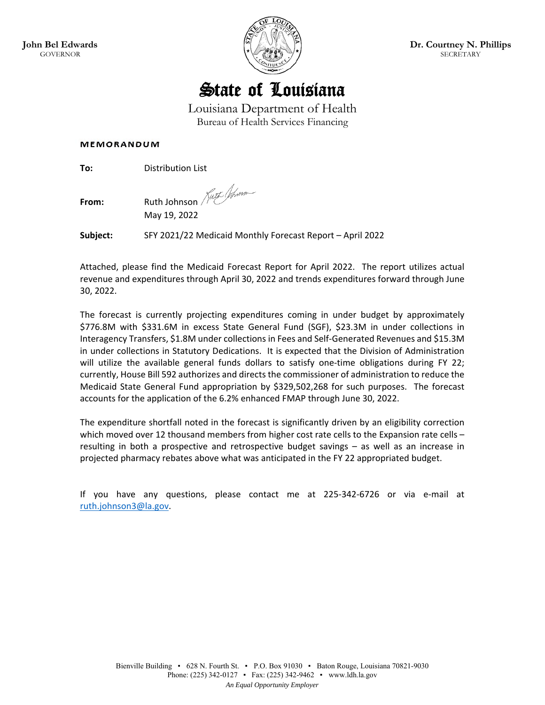



Louisiana Department of Health Bureau of Health Services Financing

#### **MEMORANDUM**

**To: Distribution List** 

**From:** Ruth Johnson *Kutt Wome* 

May 19, 2022

**Subject:** SFY 2021/22 Medicaid Monthly Forecast Report – April 2022

Attached, please find the Medicaid Forecast Report for April 2022. The report utilizes actual revenue and expenditures through April 30, 2022 and trends expenditures forward through June 30, 2022.

The forecast is currently projecting expenditures coming in under budget by approximately \$776.8M with \$331.6M in excess State General Fund (SGF), \$23.3M in under collections in Interagency Transfers, \$1.8M under collections in Fees and Self‐Generated Revenues and \$15.3M in under collections in Statutory Dedications. It is expected that the Division of Administration will utilize the available general funds dollars to satisfy one-time obligations during FY 22; currently, House Bill 592 authorizes and directs the commissioner of administration to reduce the Medicaid State General Fund appropriation by \$329,502,268 for such purposes. The forecast accounts for the application of the 6.2% enhanced FMAP through June 30, 2022.

The expenditure shortfall noted in the forecast is significantly driven by an eligibility correction which moved over 12 thousand members from higher cost rate cells to the Expansion rate cells – resulting in both a prospective and retrospective budget savings – as well as an increase in projected pharmacy rebates above what was anticipated in the FY 22 appropriated budget.

If you have any questions, please contact me at 225‐342‐6726 or via e‐mail at ruth.johnson3@la.gov.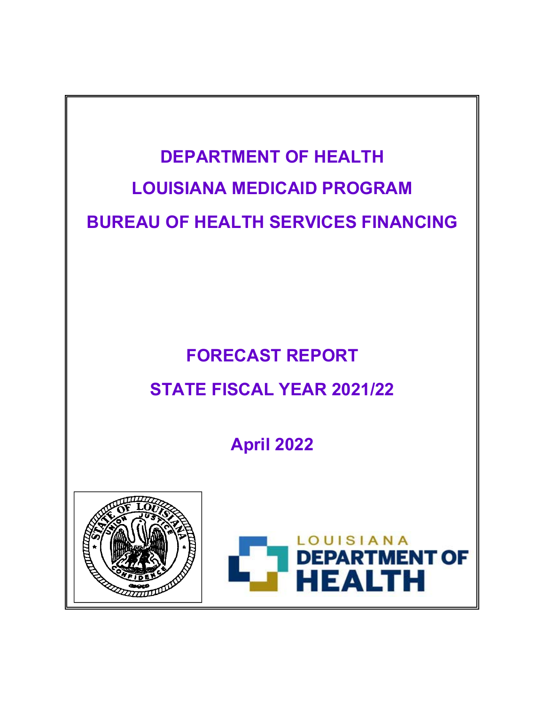

# **FORECAST REPORT STATE FISCAL YEAR 2021/22**

**April 2022**



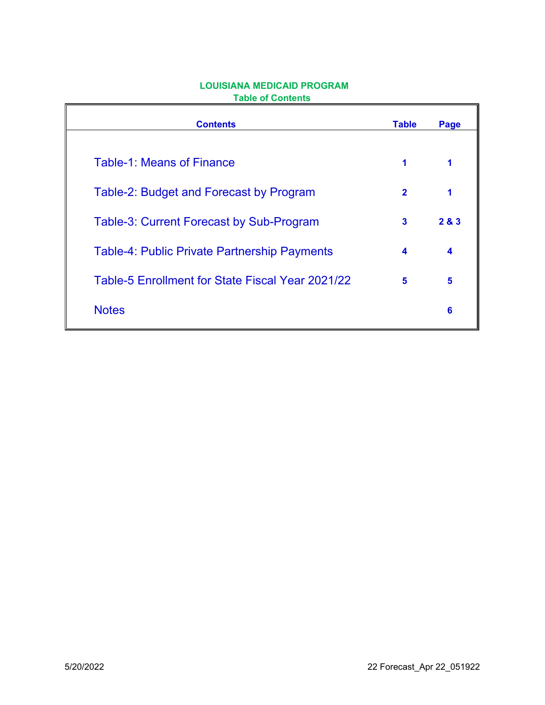| <b>Contents</b>                                     | <b>Table</b> | Page |
|-----------------------------------------------------|--------------|------|
| <b>Table-1: Means of Finance</b>                    | 1            |      |
| Table-2: Budget and Forecast by Program             | $\mathbf{2}$ | 1    |
| <b>Table-3: Current Forecast by Sub-Program</b>     | 3            | 283  |
| <b>Table-4: Public Private Partnership Payments</b> | 4            | 4    |
| Table-5 Enrollment for State Fiscal Year 2021/22    | 5            | 5    |
| <b>Notes</b>                                        |              | 6    |

# **LOUISIANA MEDICAID PROGRAM Table of Contents**

 $\mathbf{r}$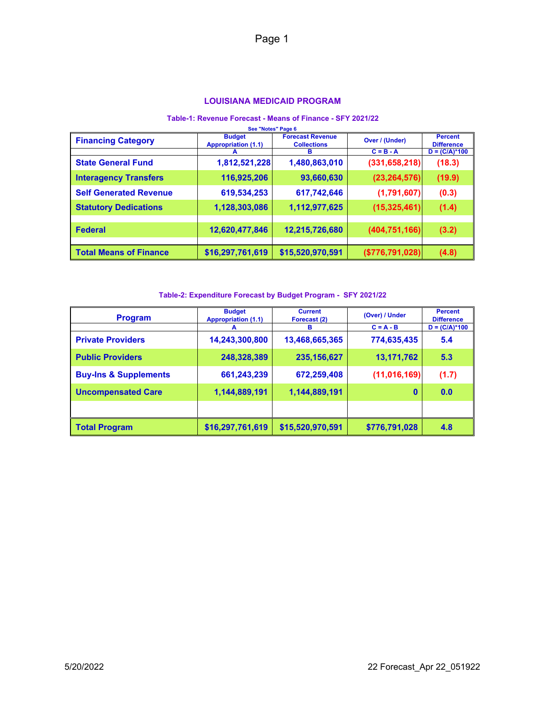#### **LOUISIANA MEDICAID PROGRAM**

#### **Table-1: Revenue Forecast - Means of Finance - SFY 2021/22**

| See "Notes" Page 6            |                                             |                                               |                 |                                     |  |
|-------------------------------|---------------------------------------------|-----------------------------------------------|-----------------|-------------------------------------|--|
| <b>Financing Category</b>     | <b>Budget</b><br><b>Appropriation (1.1)</b> | <b>Forecast Revenue</b><br><b>Collections</b> | Over / (Under)  | <b>Percent</b><br><b>Difference</b> |  |
|                               | А                                           | в                                             | $C = B - A$     | $D = (C/A)*100$                     |  |
| <b>State General Fund</b>     | 1,812,521,228                               | 1,480,863,010                                 | (331, 658, 218) | (18.3)                              |  |
| <b>Interagency Transfers</b>  | 116,925,206                                 | 93,660,630                                    | (23, 264, 576)  | (19.9)                              |  |
| <b>Self Generated Revenue</b> | 619,534,253                                 | 617,742,646                                   | (1,791,607)     | (0.3)                               |  |
| <b>Statutory Dedications</b>  | 1,128,303,086                               | 1,112,977,625                                 | (15, 325, 461)  | (1.4)                               |  |
|                               |                                             |                                               |                 |                                     |  |
| <b>Federal</b>                | 12,620,477,846                              | 12,215,726,680                                | (404, 751, 166) | (3.2)                               |  |
|                               |                                             |                                               |                 |                                     |  |
| <b>Total Means of Finance</b> | \$16,297,761,619                            | \$15,520,970,591                              | (\$776,791,028) | (4.8)                               |  |

#### **Table-2: Expenditure Forecast by Budget Program - SFY 2021/22**

| <b>Program</b>                   | <b>Budget</b><br><b>Appropriation (1.1)</b> | <b>Current</b><br>Forecast (2) | (Over) / Under | <b>Percent</b><br><b>Difference</b> |
|----------------------------------|---------------------------------------------|--------------------------------|----------------|-------------------------------------|
|                                  | A                                           | в                              | $C = A - B$    | $D = (C/A)*100$                     |
| <b>Private Providers</b>         | 14,243,300,800                              | 13,468,665,365                 | 774,635,435    | 5.4                                 |
| <b>Public Providers</b>          | 248,328,389                                 | 235, 156, 627                  | 13, 171, 762   | 5.3                                 |
| <b>Buy-Ins &amp; Supplements</b> | 661,243,239                                 | 672,259,408                    | (11, 016, 169) | (1.7)                               |
| <b>Uncompensated Care</b>        | 1,144,889,191                               | 1,144,889,191                  | $\mathbf{0}$   | 0.0                                 |
|                                  |                                             |                                |                |                                     |
| <b>Total Program</b>             | \$16,297,761,619                            | \$15,520,970,591               | \$776,791,028  | 4.8                                 |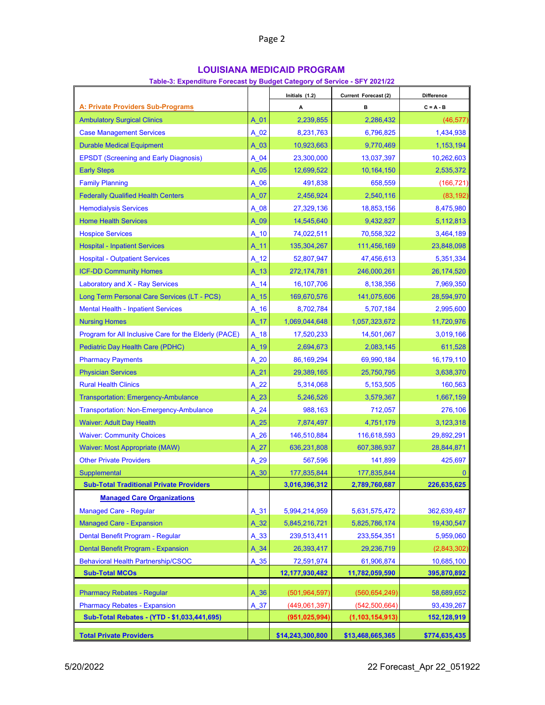# **LOUISIANA MEDICAID PROGRAM**

#### **Table-3: Expenditure Forecast by Budget Category of Service - SFY 2021/22**

| Table-3: Expenditure Forecast by Budget Category of Service - SFY 2021/22 |          | Initials (1.2)   | Current Forecast (2) | <b>Difference</b> |
|---------------------------------------------------------------------------|----------|------------------|----------------------|-------------------|
| <u>A: Private Providers Sub-Programs</u>                                  |          | А                | в                    | $C = A - B$       |
| <b>Ambulatory Surgical Clinics</b>                                        | A 01     | 2,239,855        | 2,286,432            | (46, 577)         |
| <b>Case Management Services</b>                                           | A 02     | 8,231,763        | 6,796,825            | 1,434,938         |
| <b>Durable Medical Equipment</b>                                          | A 03     | 10,923,663       | 9,770,469            | 1,153,194         |
| <b>EPSDT (Screening and Early Diagnosis)</b>                              | A 04     | 23,300,000       | 13,037,397           | 10,262,603        |
| <b>Early Steps</b>                                                        | $A_05$   | 12,699,522       | 10,164,150           | 2,535,372         |
| <b>Family Planning</b>                                                    | A 06     | 491,838          | 658,559              | (166, 721)        |
| <b>Federally Qualified Health Centers</b>                                 | A 07     | 2,456,924        | 2,540,116            | (83, 192)         |
| <b>Hemodialysis Services</b>                                              | $A_08$   | 27,329,136       | 18,853,156           | 8,475,980         |
| <b>Home Health Services</b>                                               | A 09     | 14,545,640       | 9,432,827            | 5,112,813         |
| <b>Hospice Services</b>                                                   | $A_1$ 10 | 74,022,511       | 70,558,322           | 3,464,189         |
| <b>Hospital - Inpatient Services</b>                                      | A 11     | 135,304,267      | 111,456,169          | 23,848,098        |
| <b>Hospital - Outpatient Services</b>                                     | $A_12$   | 52,807,947       | 47,456,613           | 5,351,334         |
| <b>ICF-DD Community Homes</b>                                             | $A_13$   | 272,174,781      | 246,000,261          | 26,174,520        |
| Laboratory and X - Ray Services                                           | $A_14$   | 16,107,706       | 8,138,356            | 7,969,350         |
| Long Term Personal Care Services (LT - PCS)                               | $A_15$   | 169,670,576      | 141,075,606          | 28,594,970        |
| <b>Mental Health - Inpatient Services</b>                                 | $A_16$   | 8,702,784        | 5,707,184            | 2,995,600         |
| <b>Nursing Homes</b>                                                      | $A_17$   | 1,069,044,648    | 1,057,323,672        | 11,720,976        |
| Program for All Inclusive Care for the Elderly (PACE)                     | $A_18$   | 17,520,233       | 14,501,067           | 3,019,166         |
| Pediatric Day Health Care (PDHC)                                          | A_19     | 2,694,673        | 2,083,145            | 611,528           |
| <b>Pharmacy Payments</b>                                                  | A 20     | 86,169,294       | 69,990,184           | 16,179,110        |
| <b>Physician Services</b>                                                 | $A_21$   | 29,389,165       | 25,750,795           | 3,638,370         |
| <b>Rural Health Clinics</b>                                               | A 22     | 5,314,068        | 5,153,505            | 160,563           |
| <b>Transportation: Emergency-Ambulance</b>                                | $A_23$   | 5,246,526        | 3,579,367            | 1,667,159         |
| <b>Transportation: Non-Emergency-Ambulance</b>                            | $A_24$   | 988,163          | 712,057              | 276,106           |
| <b>Waiver: Adult Day Health</b>                                           | $A_25$   | 7,874,497        | 4,751,179            | 3,123,318         |
| <b>Waiver: Community Choices</b>                                          | $A_26$   | 146,510,884      | 116,618,593          | 29,892,291        |
| <b>Waiver: Most Appropriate (MAW)</b>                                     | $A_27$   | 636,231,808      | 607,386,937          | 28,844,871        |
| <b>Other Private Providers</b>                                            | $A_29$   | 567,596          | 141,899              | 425,697           |
| Supplemental                                                              | A 30     | 177,835,844      | 177,835,844          | $\bf{0}$          |
| <b>Sub-Total Traditional Private Providers</b>                            |          | 3,016,396,312    | 2,789,760,687        | 226,635,625       |
| <b>Managed Care Organizations</b>                                         |          |                  |                      |                   |
| <b>Managed Care - Regular</b>                                             | $A_31$   | 5,994,214,959    | 5,631,575,472        | 362,639,487       |
| <b>Managed Care - Expansion</b>                                           | $A_32$   | 5,845,216,721    | 5,825,786,174        | 19,430,547        |
| Dental Benefit Program - Regular                                          | $A_33$   | 239,513,411      | 233,554,351          | 5,959,060         |
| Dental Benefit Program - Expansion                                        | $A_34$   | 26,393,417       | 29,236,719           | (2,843,302)       |
| <b>Behavioral Health Partnership/CSOC</b>                                 | $A_35$   | 72,591,974       | 61,906,874           | 10,685,100        |
| <b>Sub-Total MCOs</b>                                                     |          | 12,177,930,482   | 11,782,059,590       | 395,870,892       |
| <b>Pharmacy Rebates - Regular</b>                                         | $A_36$   | (501, 964, 597)  | (560, 654, 249)      | 58,689,652        |
| <b>Pharmacy Rebates - Expansion</b>                                       | A 37     | (449,061,397)    | (542, 500, 664)      | 93,439,267        |
| Sub-Total Rebates - (YTD - \$1,033,441,695)                               |          | (951, 025, 994)  | (1, 103, 154, 913)   | 152,128,919       |
|                                                                           |          |                  |                      |                   |
| <b>Total Private Providers</b>                                            |          | \$14,243,300,800 | \$13,468,665,365     | \$774,635,435     |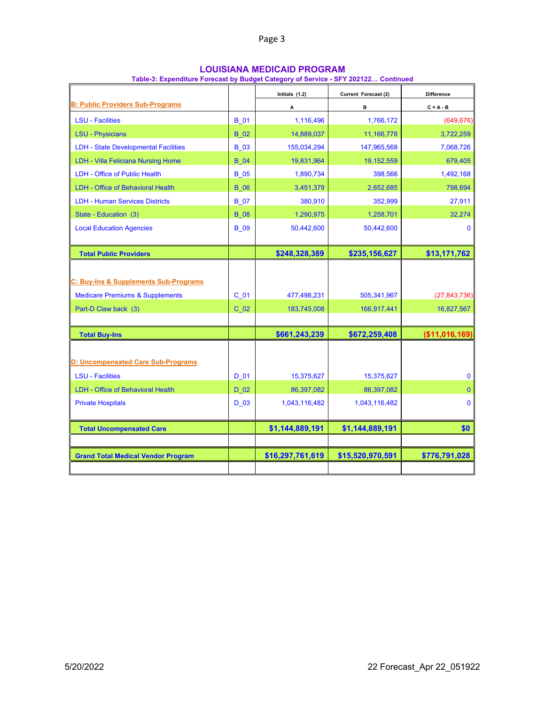| <b>LOUISIANA MEDICAID PROGRAM</b> |
|-----------------------------------|
|-----------------------------------|

| Table-3: Expenditure Forecast by Budget Category of Service - SFY 202122 Continued |  |
|------------------------------------------------------------------------------------|--|
|------------------------------------------------------------------------------------|--|

|                                             |                 | Initials (1.2)   | Current Forecast (2) | <b>Difference</b> |
|---------------------------------------------|-----------------|------------------|----------------------|-------------------|
| <b>B: Public Providers Sub-Programs</b>     |                 | А                | в                    | $C = A - B$       |
| <b>LSU - Facilities</b>                     | <b>B</b> 01     | 1,116,496        | 1,766,172            | (649, 676)        |
| <b>LSU - Physicians</b>                     | <b>B</b> 02     | 14,889,037       | 11,166,778           | 3,722,259         |
| <b>LDH - State Developmental Facilities</b> | <b>B</b> 03     | 155,034,294      | 147,965,568          | 7,068,726         |
| <b>LDH - Villa Feliciana Nursing Home</b>   | <b>B</b> 04     | 19,831,964       | 19,152,559           | 679,405           |
| LDH - Office of Public Health               | <b>B</b> 05     | 1,890,734        | 398,566              | 1,492,168         |
| <b>LDH - Office of Behavioral Health</b>    | <b>B</b> 06     | 3,451,379        | 2,652,685            | 798,694           |
| <b>LDH - Human Services Districts</b>       | <b>B</b> 07     | 380,910          | 352,999              | 27,911            |
| State - Education (3)                       | <b>B</b> 08     | 1,290,975        | 1,258,701            | 32,274            |
| <b>Local Education Agencies</b>             | <b>B</b> 09     | 50,442,600       | 50,442,600           | $\mathbf{0}$      |
| <b>Total Public Providers</b>               |                 | \$248,328,389    | \$235,156,627        | \$13,171,762      |
|                                             |                 |                  |                      |                   |
| C: Buy-Ins & Supplements Sub-Programs       |                 |                  |                      |                   |
| <b>Medicare Premiums &amp; Supplements</b>  | C <sub>01</sub> | 477,498,231      | 505,341,967          | (27, 843, 736)    |
| Part-D Claw back (3)                        | C <sub>02</sub> | 183,745,008      | 166,917,441          | 16,827,567        |
| <b>Total Buy-Ins</b>                        |                 | \$661,243,239    | \$672,259,408        | (\$11,016,169]    |
|                                             |                 |                  |                      |                   |
| D: Uncompensated Care Sub-Programs          |                 |                  |                      |                   |
| <b>LSU - Facilities</b>                     | D 01            | 15,375,627       | 15,375,627           | $\mathbf 0$       |
| <b>LDH - Office of Behavioral Health</b>    | D 02            | 86,397,082       | 86,397,082           | $\overline{0}$    |
| <b>Private Hospitals</b>                    | D 03            | 1,043,116,482    | 1,043,116,482        | $\mathbf 0$       |
| <b>Total Uncompensated Care</b>             |                 | \$1,144,889,191  | \$1,144,889,191      | \$0               |
|                                             |                 |                  |                      |                   |
| <b>Grand Total Medical Vendor Program</b>   |                 | \$16,297,761,619 | \$15,520,970,591     | \$776,791,028     |
|                                             |                 |                  |                      |                   |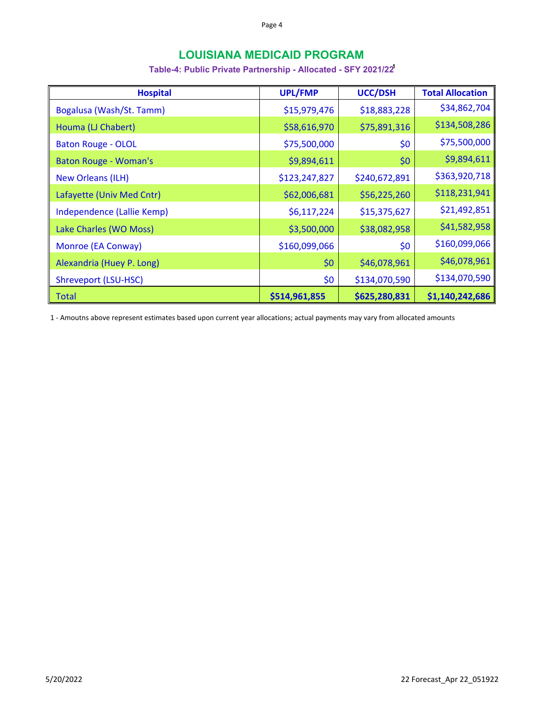# **LOUISIANA MEDICAID PROGRAM**

## **Table-4: Public Private Partnership - Allocated - SFY 2021/221**

| <b>Hospital</b>              | <b>UPL/FMP</b> | <b>UCC/DSH</b> | <b>Total Allocation</b> |
|------------------------------|----------------|----------------|-------------------------|
| Bogalusa (Wash/St. Tamm)     | \$15,979,476   | \$18,883,228   | \$34,862,704            |
| Houma (LJ Chabert)           | \$58,616,970   | \$75,891,316   | \$134,508,286           |
| <b>Baton Rouge - OLOL</b>    | \$75,500,000   | \$0            | \$75,500,000            |
| <b>Baton Rouge - Woman's</b> | \$9,894,611    | \$0            | \$9,894,611             |
| <b>New Orleans (ILH)</b>     | \$123,247,827  | \$240,672,891  | \$363,920,718           |
| Lafayette (Univ Med Cntr)    | \$62,006,681   | \$56,225,260   | \$118,231,941           |
| Independence (Lallie Kemp)   | \$6,117,224    | \$15,375,627   | \$21,492,851            |
| Lake Charles (WO Moss)       | \$3,500,000    | \$38,082,958   | \$41,582,958            |
| Monroe (EA Conway)           | \$160,099,066  | \$0            | \$160,099,066           |
| Alexandria (Huey P. Long)    | \$0            | \$46,078,961   | \$46,078,961            |
| Shreveport (LSU-HSC)         | \$0            | \$134,070,590  | \$134,070,590           |
| <b>Total</b>                 | \$514,961,855  | \$625,280,831  | \$1,140,242,686         |

1 ‐ Amoutns above represent estimates based upon current year allocations; actual payments may vary from allocated amounts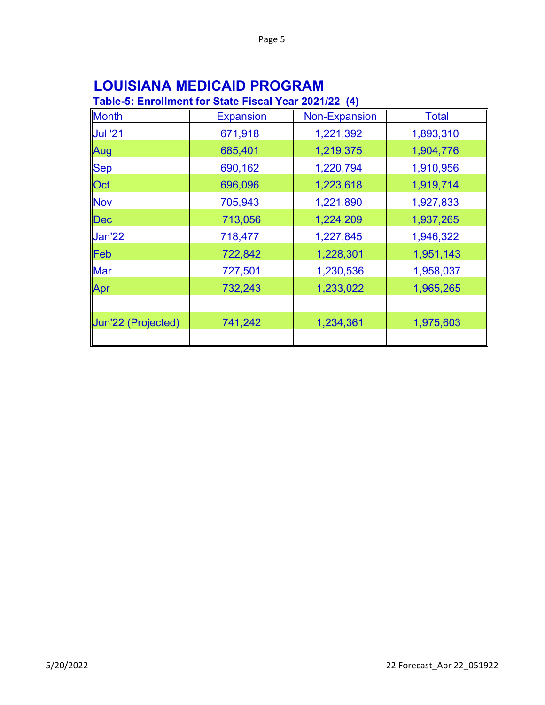# **LOUISIANA MEDICAID PROGRAM**

# **Table-5: Enrollment for State Fiscal Year 2021/22 (4)**

| <b>Month</b>       | <b>Expansion</b> | Non-Expansion | <b>Total</b> |
|--------------------|------------------|---------------|--------------|
| <b>Jul '21</b>     | 671,918          | 1,221,392     | 1,893,310    |
| Aug                | 685,401          | 1,219,375     | 1,904,776    |
| <b>Sep</b>         | 690,162          | 1,220,794     | 1,910,956    |
| Oct                | 696,096          | 1,223,618     | 1,919,714    |
| <b>Nov</b>         | 705,943          | 1,221,890     | 1,927,833    |
| Dec                | 713,056          | 1,224,209     | 1,937,265    |
| Jan'22             | 718,477          | 1,227,845     | 1,946,322    |
| Feb                | 722,842          | 1,228,301     | 1,951,143    |
| <b>Mar</b>         | 727,501          | 1,230,536     | 1,958,037    |
| Apr                | 732,243          | 1,233,022     | 1,965,265    |
|                    |                  |               |              |
| Jun'22 (Projected) | 741,242          | 1,234,361     | 1,975,603    |
|                    |                  |               |              |